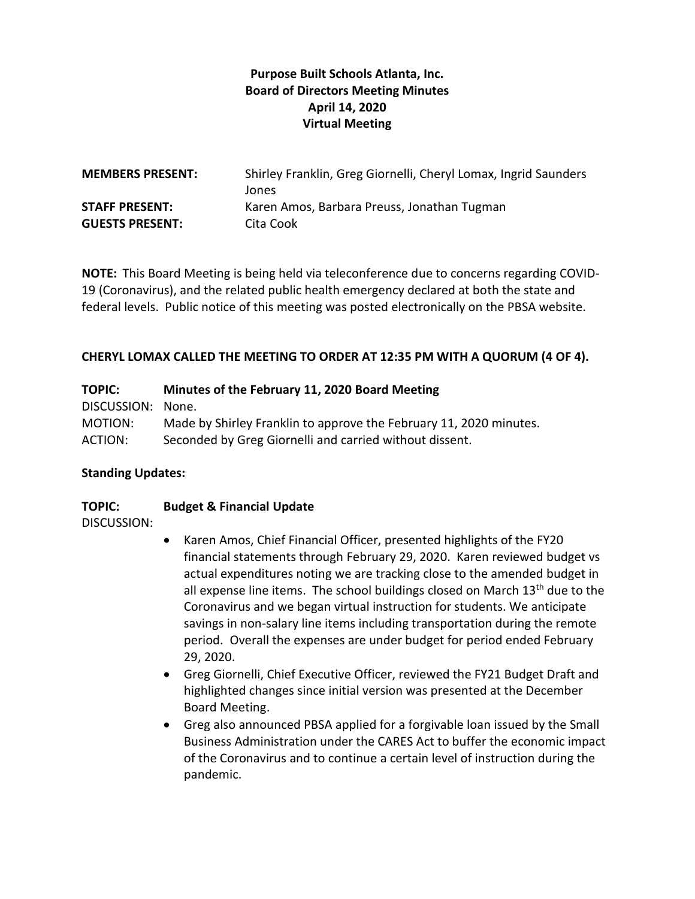## **Purpose Built Schools Atlanta, Inc. Board of Directors Meeting Minutes April 14, 2020 Virtual Meeting**

| <b>MEMBERS PRESENT:</b> | Shirley Franklin, Greg Giornelli, Cheryl Lomax, Ingrid Saunders |
|-------------------------|-----------------------------------------------------------------|
|                         | Jones                                                           |
| <b>STAFF PRESENT:</b>   | Karen Amos, Barbara Preuss, Jonathan Tugman                     |
| <b>GUESTS PRESENT:</b>  | Cita Cook                                                       |
|                         |                                                                 |

**NOTE:** This Board Meeting is being held via teleconference due to concerns regarding COVID-19 (Coronavirus), and the related public health emergency declared at both the state and federal levels. Public notice of this meeting was posted electronically on the PBSA website.

### **CHERYL LOMAX CALLED THE MEETING TO ORDER AT 12:35 PM WITH A QUORUM (4 OF 4).**

| <b>TOPIC:</b>     | Minutes of the February 11, 2020 Board Meeting                     |
|-------------------|--------------------------------------------------------------------|
| DISCUSSION: None. |                                                                    |
| MOTION:           | Made by Shirley Franklin to approve the February 11, 2020 minutes. |
| ACTION:           | Seconded by Greg Giornelli and carried without dissent.            |

### **Standing Updates:**

### **TOPIC: Budget & Financial Update**

#### DISCUSSION:

- Karen Amos, Chief Financial Officer, presented highlights of the FY20 financial statements through February 29, 2020. Karen reviewed budget vs actual expenditures noting we are tracking close to the amended budget in all expense line items. The school buildings closed on March 13<sup>th</sup> due to the Coronavirus and we began virtual instruction for students. We anticipate savings in non-salary line items including transportation during the remote period. Overall the expenses are under budget for period ended February 29, 2020.
- Greg Giornelli, Chief Executive Officer, reviewed the FY21 Budget Draft and highlighted changes since initial version was presented at the December Board Meeting.
- Greg also announced PBSA applied for a forgivable loan issued by the Small Business Administration under the CARES Act to buffer the economic impact of the Coronavirus and to continue a certain level of instruction during the pandemic.